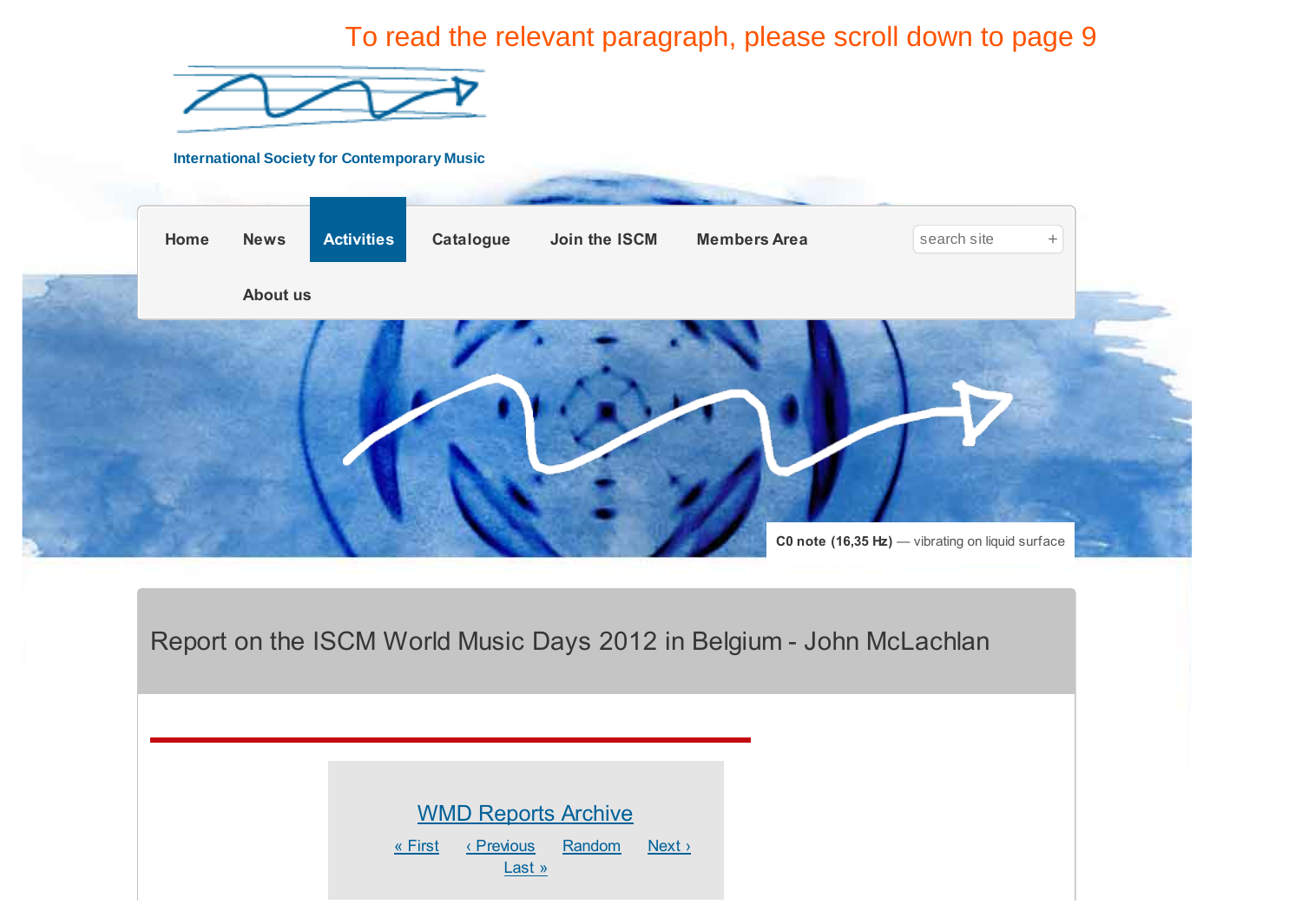To read the relevant paragraph, please scroll down to page 9

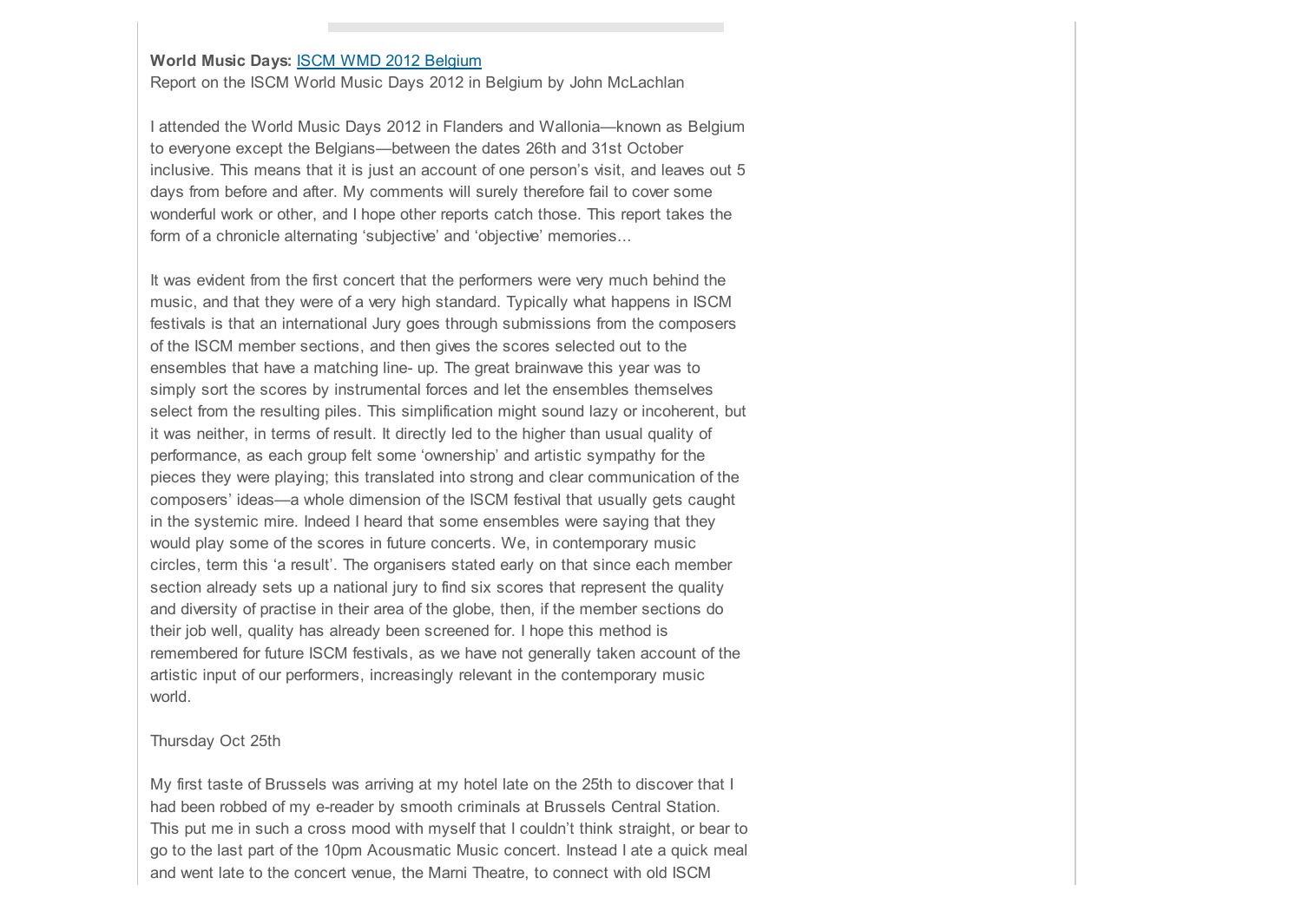# **World Music Days:** [ISCM WMD 2012 Belgium](http://www.iscm.org/activities/wmds/iscm-wmd-2012-belgium)

Report on the ISCM World Music Days 2012 in Belgium by John McLachlan

I attended the World Music Days 2012 in Flanders and Wallonia—known as Belgium to everyone except the Belgians—between the dates 26th and 31st October inclusive. This means that it is just an account of one person's visit, and leaves out 5 days from before and after. My comments will surely therefore fail to cover some wonderful work or other, and I hope other reports catch those. This report takes the form of a chronicle alternating 'subjective' and 'objective' memories...

It was evident from the first concert that the performers were very much behind the music, and that they were of a very high standard. Typically what happens in ISCM festivals is that an international Jury goes through submissions from the composers of the ISCM member sections, and then gives the scores selected out to the ensembles that have a matching line- up. The great brainwave this year was to simply sort the scores by instrumental forces and let the ensembles themselves select from the resulting piles. This simplification might sound lazy or incoherent, but it was neither, in terms of result. It directly led to the higher than usual quality of performance, as each group felt some 'ownership' and artistic sympathy for the pieces they were playing; this translated into strong and clear communication of the composers' ideas—a whole dimension of the ISCM festival that usually gets caught in the systemic mire. Indeed I heard that some ensembles were saying that they would play some of the scores in future concerts. We, in contemporary music circles, term this 'a result'. The organisers stated early on that since each member section already sets up a national jury to find six scores that represent the quality and diversity of practise in their area of the globe, then, if the member sections do their job well, quality has already been screened for. I hope this method is remembered for future ISCM festivals, as we have not generally taken account of the artistic input of our performers, increasingly relevant in the contemporary music world.

#### Thursday Oct 25th

My first taste of Brussels was arriving at my hotel late on the 25th to discover that I had been robbed of my e-reader by smooth criminals at Brussels Central Station. This put me in such a cross mood with myself that I couldn't think straight, or bear to go to the last part of the 10pm Acousmatic Music concert. Instead I ate a quick meal and went late to the concert venue, the Marni Theatre, to connect with old ISCM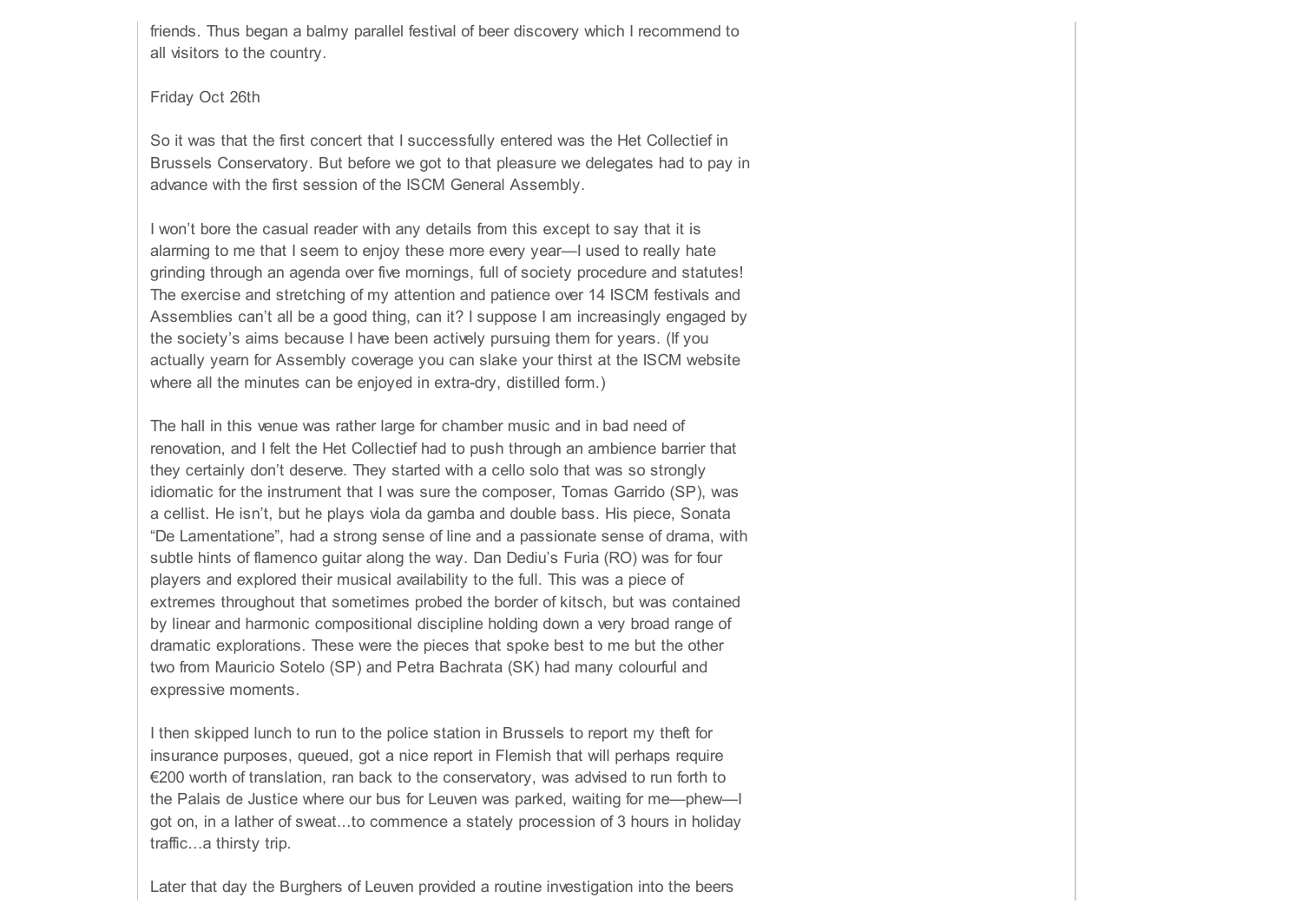friends. Thus began a balmy parallel festival of beer discovery which I recommend to all visitors to the country.

Friday Oct 26th

So it was that the first concert that I successfully entered was the Het Collectief in Brussels Conservatory. But before we got to that pleasure we delegates had to pay in advance with the first session of the ISCM General Assembly.

I won't bore the casual reader with any details from this except to say that it is alarming to me that I seem to enjoy these more every year—I used to really hate grinding through an agenda over five mornings, full of society procedure and statutes! The exercise and stretching of my attention and patience over 14 ISCM festivals and Assemblies can't all be a good thing, can it? I suppose I am increasingly engaged by the society's aims because I have been actively pursuing them for years. (If you actually yearn for Assembly coverage you can slake your thirst at the ISCM website where all the minutes can be enjoyed in extra-dry, distilled form.)

The hall in this venue was rather large for chamber music and in bad need of renovation, and I felt the Het Collectief had to push through an ambience barrier that they certainly don't deserve. They started with a cello solo that was so strongly idiomatic for the instrument that I was sure the composer, Tomas Garrido (SP), was a cellist. He isn't, but he plays viola da gamba and double bass. His piece, Sonata "De Lamentatione", had a strong sense of line and a passionate sense of drama, with subtle hints of flamenco guitar along the way. Dan Dediu's Furia (RO) was for four players and explored their musical availability to the full. This was a piece of extremes throughout that sometimes probed the border of kitsch, but was contained by linear and harmonic compositional discipline holding down a very broad range of dramatic explorations. These were the pieces that spoke best to me but the other two from Mauricio Sotelo (SP) and Petra Bachrata (SK) had many colourful and expressive moments.

I then skipped lunch to run to the police station in Brussels to report my theft for insurance purposes, queued, got a nice report in Flemish that will perhaps require €200 worth of translation, ran back to the conservatory, was advised to run forth to the Palais de Justice where our bus for Leuven was parked, waiting for me—phew—I got on, in a lather of sweat...to commence a stately procession of 3 hours in holiday traffic...a thirsty trip.

Later that day the Burghers of Leuven provided a routine investigation into the beers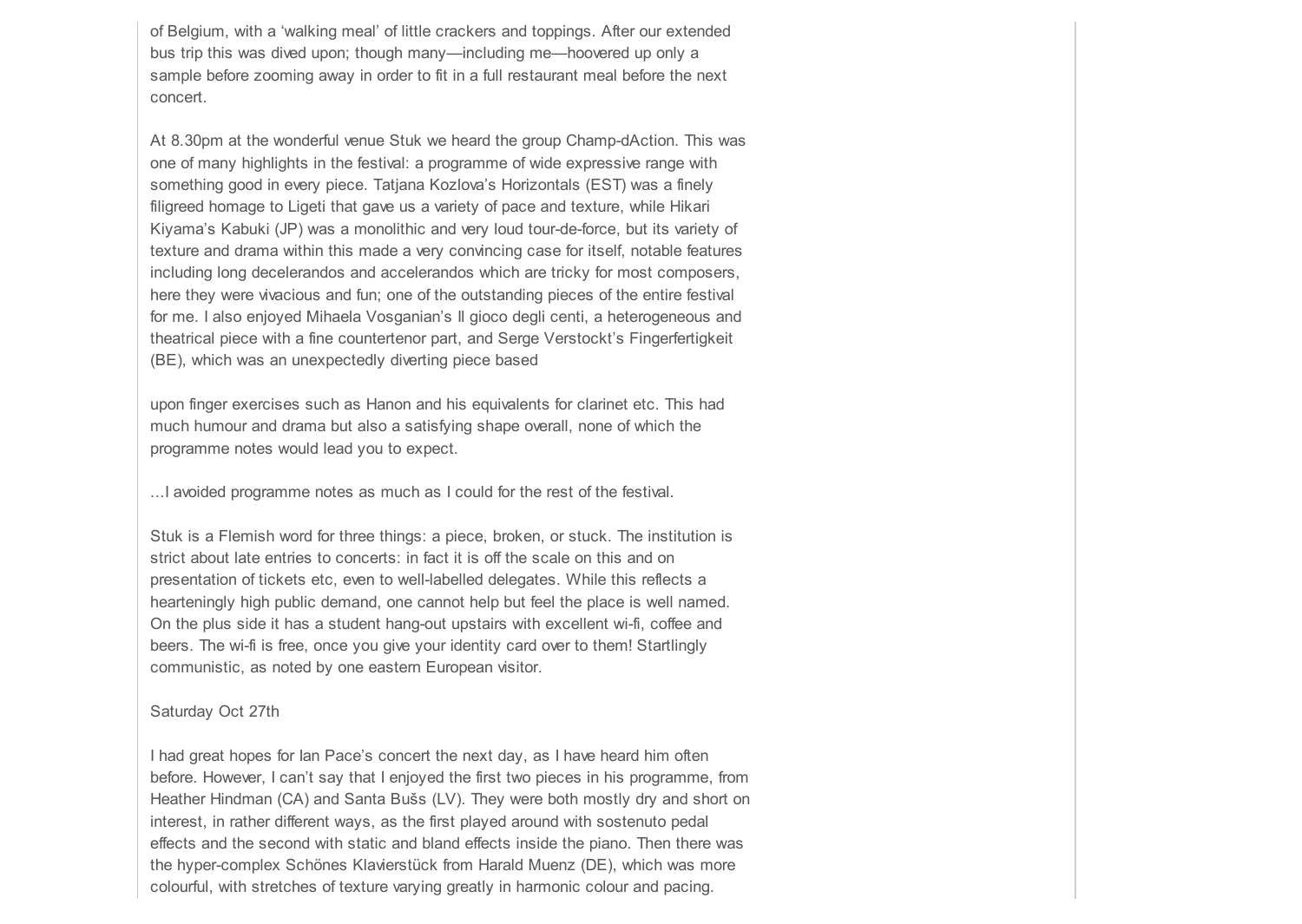of Belgium, with a 'walking meal' of little crackers and toppings. After our extended bus trip this was dived upon; though many—including me—hoovered up only a sample before zooming away in order to fit in a full restaurant meal before the next concert.

At 8.30pm at the wonderful venue Stuk we heard the group Champ-dAction. This was one of many highlights in the festival: a programme of wide expressive range with something good in every piece. Tatjana Kozlova's Horizontals (EST) was a finely filigreed homage to Ligeti that gave us a variety of pace and texture, while Hikari Kiyama's Kabuki (JP) was a monolithic and very loud tour-de-force, but its variety of texture and drama within this made a very convincing case for itself, notable features including long decelerandos and accelerandos which are tricky for most composers, here they were vivacious and fun; one of the outstanding pieces of the entire festival for me. I also enjoyed Mihaela Vosganian's Il gioco degli centi, a heterogeneous and theatrical piece with a fine countertenor part, and Serge Verstockt's Fingerfertigkeit (BE), which was an unexpectedly diverting piece based

upon finger exercises such as Hanon and his equivalents for clarinet etc. This had much humour and drama but also a satisfying shape overall, none of which the programme notes would lead you to expect.

...I avoided programme notes as much as I could for the rest of the festival.

Stuk is a Flemish word for three things: a piece, broken, or stuck. The institution is strict about late entries to concerts: in fact it is off the scale on this and on presentation of tickets etc, even to well-labelled delegates. While this reflects a hearteningly high public demand, one cannot help but feel the place is well named. On the plus side it has a student hang-out upstairs with excellent wi-fi, coffee and beers. The wi-fi is free, once you give your identity card over to them! Startlingly communistic, as noted by one eastern European visitor.

## Saturday Oct 27th

I had great hopes for Ian Pace's concert the next day, as I have heard him often before. However, I can't say that I enjoyed the first two pieces in his programme, from Heather Hindman (CA) and Santa Bušs (LV). They were both mostly dry and short on interest, in rather different ways, as the first played around with sostenuto pedal effects and the second with static and bland effects inside the piano. Then there was the hyper-complex Schönes Klavierstück from Harald Muenz (DE), which was more colourful, with stretches of texture varying greatly in harmonic colour and pacing.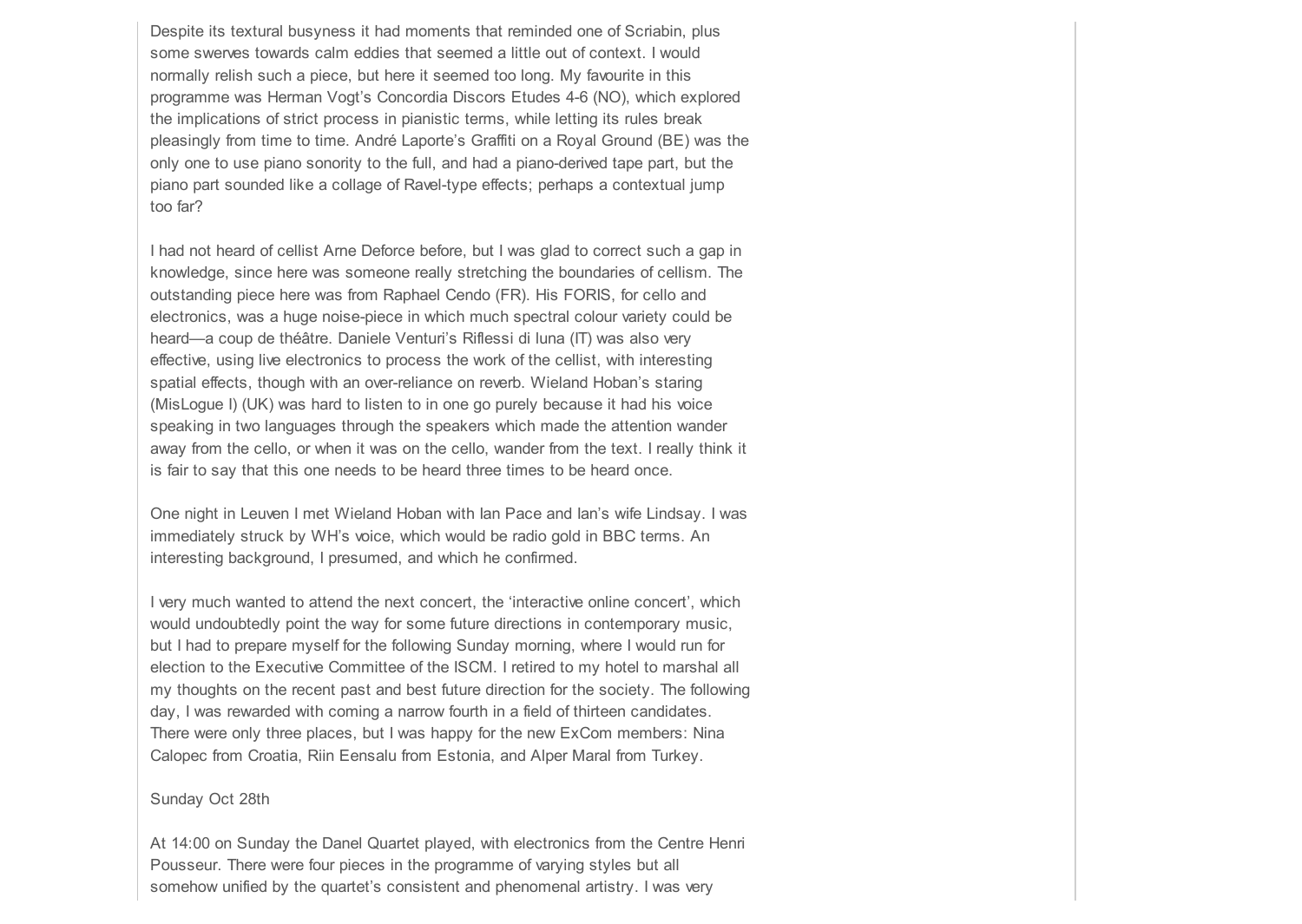Despite its textural busyness it had moments that reminded one of Scriabin, plus some swerves towards calm eddies that seemed a little out of context. I would normally relish such a piece, but here it seemed too long. My favourite in this programme was Herman Vogt's Concordia Discors Etudes 4-6 (NO), which explored the implications of strict process in pianistic terms, while letting its rules break pleasingly from time to time. André Laporte's Graffiti on a Royal Ground (BE) was the only one to use piano sonority to the full, and had a piano-derived tape part, but the piano part sounded like a collage of Ravel-type effects; perhaps a contextual jump too far?

I had not heard of cellist Arne Deforce before, but I was glad to correct such a gap in knowledge, since here was someone really stretching the boundaries of cellism. The outstanding piece here was from Raphael Cendo (FR). His FORIS, for cello and electronics, was a huge noise-piece in which much spectral colour variety could be heard—a coup de théâtre. Daniele Venturi's Riflessi di luna (IT) was also very effective, using live electronics to process the work of the cellist, with interesting spatial effects, though with an over-reliance on reverb. Wieland Hoban's staring (MisLogue I) (UK) was hard to listen to in one go purely because it had his voice speaking in two languages through the speakers which made the attention wander away from the cello, or when it was on the cello, wander from the text. I really think it is fair to say that this one needs to be heard three times to be heard once.

One night in Leuven I met Wieland Hoban with Ian Pace and Ian's wife Lindsay. I was immediately struck by WH's voice, which would be radio gold in BBC terms. An interesting background, I presumed, and which he confirmed.

I very much wanted to attend the next concert, the 'interactive online concert', which would undoubtedly point the way for some future directions in contemporary music, but I had to prepare myself for the following Sunday morning, where I would run for election to the Executive Committee of the ISCM. I retired to my hotel to marshal all my thoughts on the recent past and best future direction for the society. The following day, I was rewarded with coming a narrow fourth in a field of thirteen candidates. There were only three places, but I was happy for the new ExCom members: Nina Calopec from Croatia, Riin Eensalu from Estonia, and Alper Maral from Turkey.

#### Sunday Oct 28th

At 14:00 on Sunday the Danel Quartet played, with electronics from the Centre Henri Pousseur. There were four pieces in the programme of varying styles but all somehow unified by the quartet's consistent and phenomenal artistry. I was very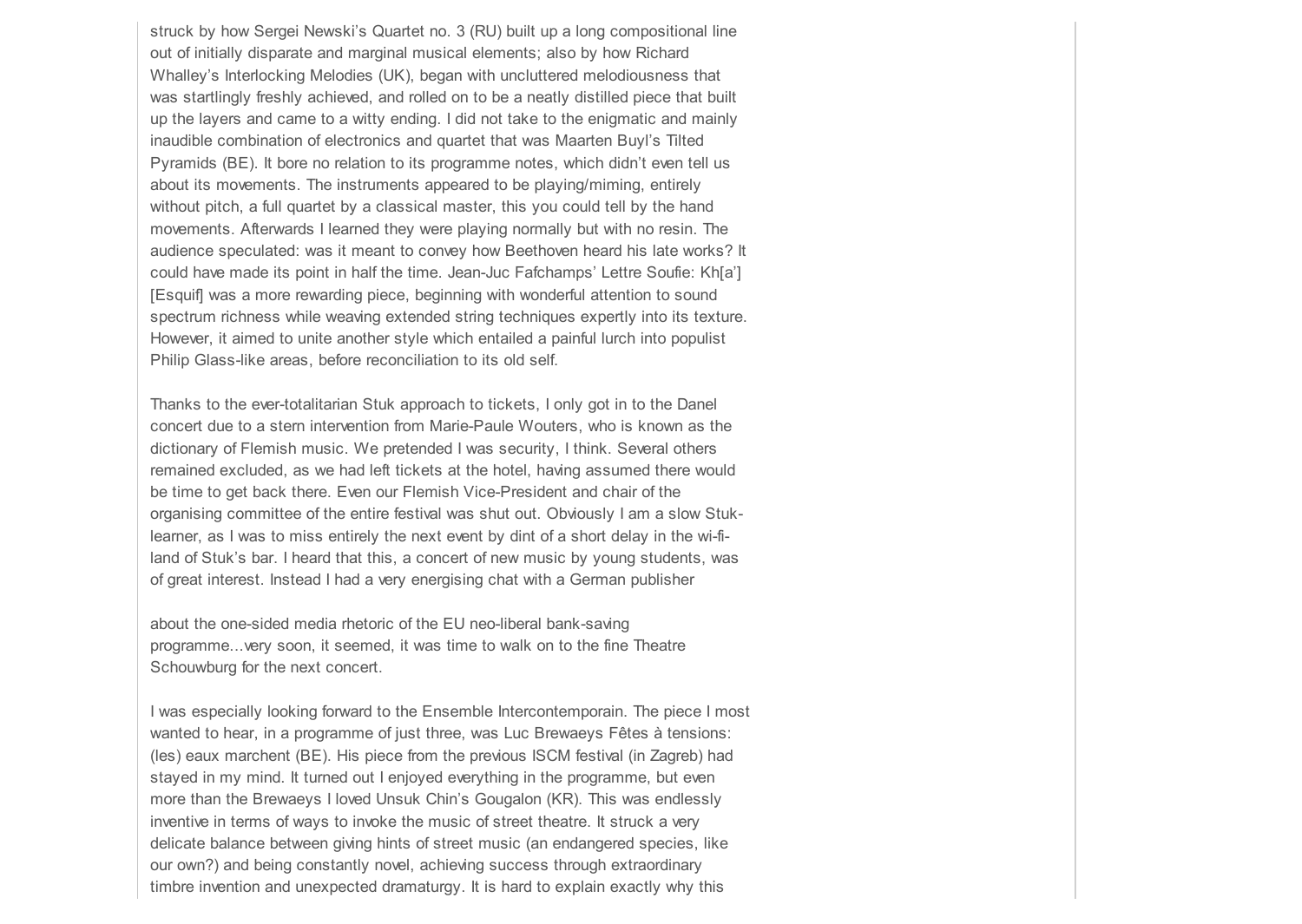struck by how Sergei Newski's Quartet no. 3 (RU) built up a long compositional line out of initially disparate and marginal musical elements; also by how Richard Whalley's Interlocking Melodies (UK), began with uncluttered melodiousness that was startlingly freshly achieved, and rolled on to be a neatly distilled piece that built up the layers and came to a witty ending. I did not take to the enigmatic and mainly inaudible combination of electronics and quartet that was Maarten Buyl's Tilted Pyramids (BE). It bore no relation to its programme notes, which didn't even tell us about its movements. The instruments appeared to be playing/miming, entirely without pitch, a full quartet by a classical master, this you could tell by the hand movements. Afterwards I learned they were playing normally but with no resin. The audience speculated: was it meant to convey how Beethoven heard his late works? It could have made its point in half the time. Jean-Juc Fafchamps' Lettre Soufie: Kh[a'] [Esquif] was a more rewarding piece, beginning with wonderful attention to sound spectrum richness while weaving extended string techniques expertly into its texture. However, it aimed to unite another style which entailed a painful lurch into populist Philip Glass-like areas, before reconciliation to its old self.

Thanks to the ever-totalitarian Stuk approach to tickets, I only got in to the Danel concert due to a stern intervention from Marie-Paule Wouters, who is known as the dictionary of Flemish music. We pretended I was security, I think. Several others remained excluded, as we had left tickets at the hotel, having assumed there would be time to get back there. Even our Flemish Vice-President and chair of the organising committee of the entire festival was shut out. Obviously I am a slow Stuklearner, as I was to miss entirely the next event by dint of a short delay in the wi-filand of Stuk's bar. I heard that this, a concert of new music by young students, was of great interest. Instead I had a very energising chat with a German publisher

about the one-sided media rhetoric of the EU neo-liberal bank-saving programme...very soon, it seemed, it was time to walk on to the fine Theatre Schouwburg for the next concert.

I was especially looking forward to the Ensemble Intercontemporain. The piece I most wanted to hear, in a programme of just three, was Luc Brewaeys Fêtes à tensions: (les) eaux marchent (BE). His piece from the previous ISCM festival (in Zagreb) had stayed in my mind. It turned out I enjoyed everything in the programme, but even more than the Brewaeys I loved Unsuk Chin's Gougalon (KR). This was endlessly inventive in terms of ways to invoke the music of street theatre. It struck a very delicate balance between giving hints of street music (an endangered species, like our own?) and being constantly novel, achieving success through extraordinary timbre invention and unexpected dramaturgy. It is hard to explain exactly why this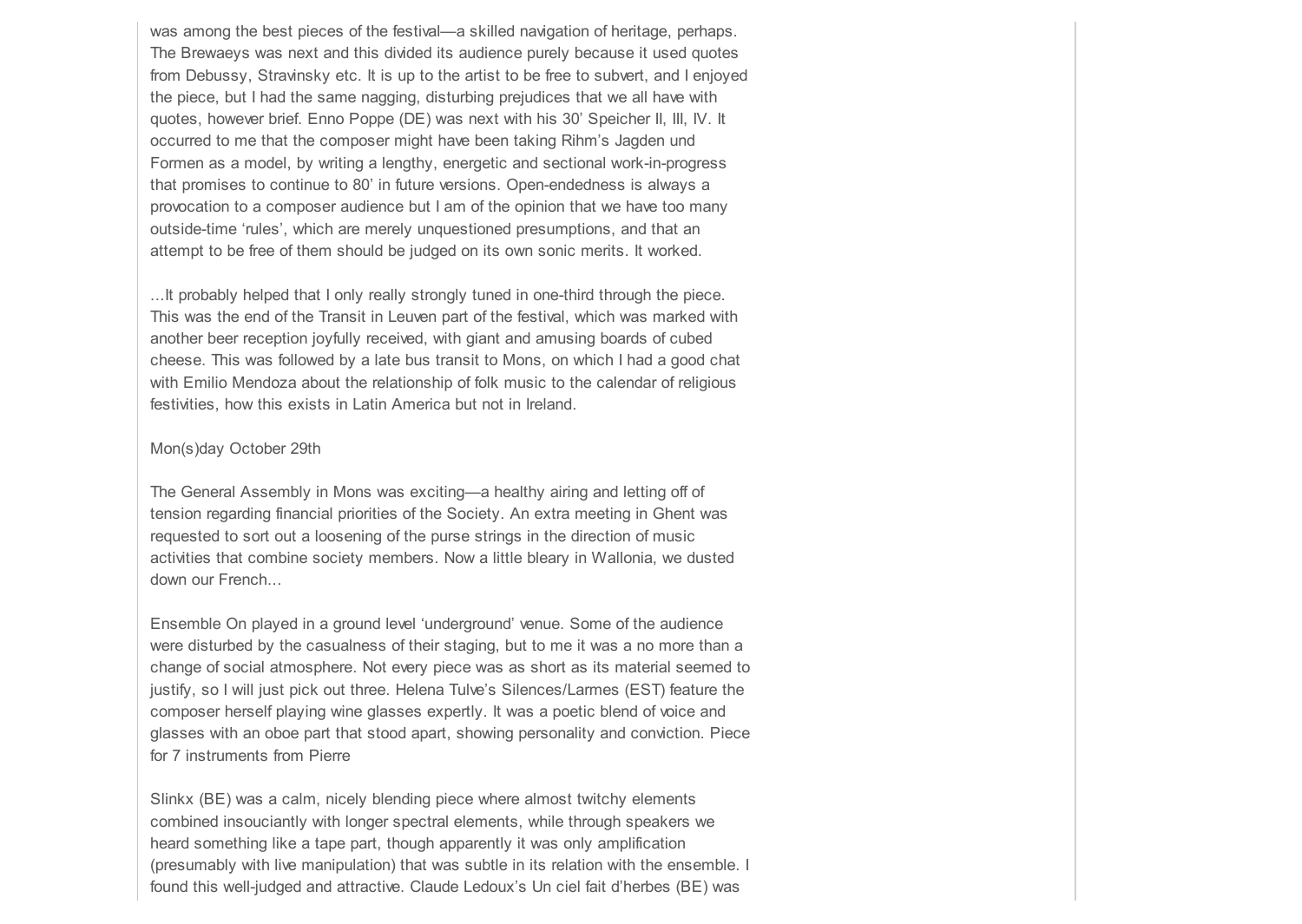was among the best pieces of the festival—a skilled navigation of heritage, perhaps. The Brewaeys was next and this divided its audience purely because it used quotes from Debussy, Stravinsky etc. It is up to the artist to be free to subvert, and I enjoyed the piece, but I had the same nagging, disturbing prejudices that we all have with quotes, however brief. Enno Poppe (DE) was next with his 30' Speicher II, III, IV. It occurred to me that the composer might have been taking Rihm's Jagden und Formen as a model, by writing a lengthy, energetic and sectional work-in-progress that promises to continue to 80' in future versions. Open-endedness is always a provocation to a composer audience but I am of the opinion that we have too many outside-time 'rules', which are merely unquestioned presumptions, and that an attempt to be free of them should be judged on its own sonic merits. It worked.

...It probably helped that I only really strongly tuned in one-third through the piece. This was the end of the Transit in Leuven part of the festival, which was marked with another beer reception joyfully received, with giant and amusing boards of cubed cheese. This was followed by a late bus transit to Mons, on which I had a good chat with Emilio Mendoza about the relationship of folk music to the calendar of religious festivities, how this exists in Latin America but not in Ireland.

### Mon(s)day October 29th

The General Assembly in Mons was exciting—a healthy airing and letting off of tension regarding financial priorities of the Society. An extra meeting in Ghent was requested to sort out a loosening of the purse strings in the direction of music activities that combine society members. Now a little bleary in Wallonia, we dusted down our French...

Ensemble On played in a ground level 'underground' venue. Some of the audience were disturbed by the casualness of their staging, but to me it was a no more than a change of social atmosphere. Not every piece was as short as its material seemed to justify, so I will just pick out three. Helena Tulve's Silences/Larmes (EST) feature the composer herself playing wine glasses expertly. It was a poetic blend of voice and glasses with an oboe part that stood apart, showing personality and conviction. Piece for 7 instruments from Pierre

Slinkx (BE) was a calm, nicely blending piece where almost twitchy elements combined insouciantly with longer spectral elements, while through speakers we heard something like a tape part, though apparently it was only amplification (presumably with live manipulation) that was subtle in its relation with the ensemble. I found this well-judged and attractive. Claude Ledoux's Un ciel fait d'herbes (BE) was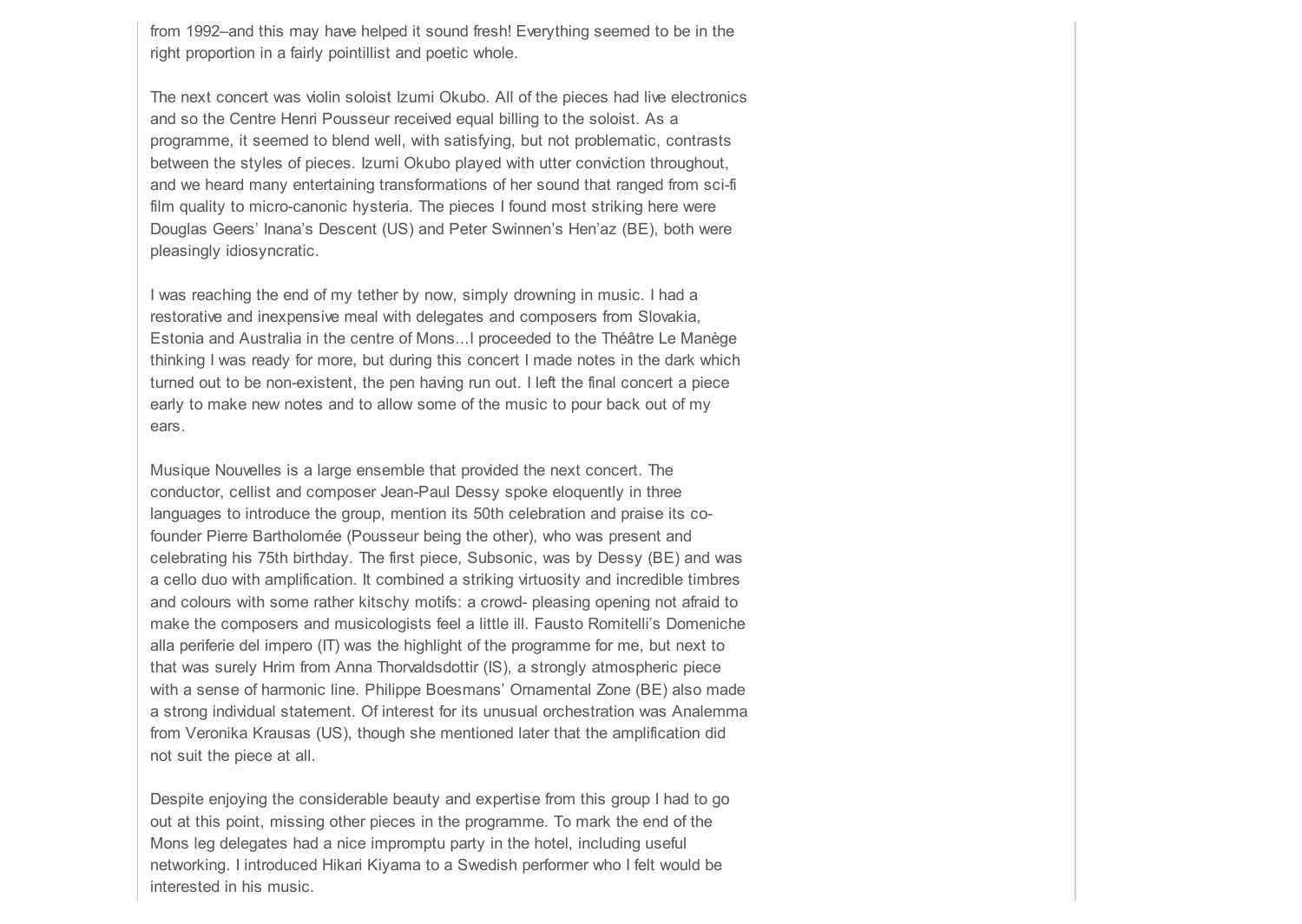from 1992–and this may have helped it sound fresh! Everything seemed to be in the right proportion in a fairly pointillist and poetic whole.

The next concert was violin soloist Izumi Okubo. All of the pieces had live electronics and so the Centre Henri Pousseur received equal billing to the soloist. As a programme, it seemed to blend well, with satisfying, but not problematic, contrasts between the styles of pieces. Izumi Okubo played with utter conviction throughout, and we heard many entertaining transformations of her sound that ranged from sci-fi film quality to micro-canonic hysteria. The pieces I found most striking here were Douglas Geers' Inana's Descent (US) and Peter Swinnen's Hen'az (BE), both were pleasingly idiosyncratic.

I was reaching the end of my tether by now, simply drowning in music. I had a restorative and inexpensive meal with delegates and composers from Slovakia, Estonia and Australia in the centre of Mons...I proceeded to the Théâtre Le Manège thinking I was ready for more, but during this concert I made notes in the dark which turned out to be non-existent, the pen having run out. I left the final concert a piece early to make new notes and to allow some of the music to pour back out of my ears.

Musique Nouvelles is a large ensemble that provided the next concert. The conductor, cellist and composer Jean-Paul Dessy spoke eloquently in three languages to introduce the group, mention its 50th celebration and praise its cofounder Pierre Bartholomée (Pousseur being the other), who was present and celebrating his 75th birthday. The first piece, Subsonic, was by Dessy (BE) and was a cello duo with amplification. It combined a striking virtuosity and incredible timbres and colours with some rather kitschy motifs: a crowd- pleasing opening not afraid to make the composers and musicologists feel a little ill. Fausto Romitelli's Domeniche alla periferie del impero (IT) was the highlight of the programme for me, but next to that was surely Hrim from Anna Thorvaldsdottir (IS), a strongly atmospheric piece with a sense of harmonic line. Philippe Boesmans' Ornamental Zone (BE) also made a strong individual statement. Of interest for its unusual orchestration was Analemma from Veronika Krausas (US), though she mentioned later that the amplification did not suit the piece at all.

Despite enjoying the considerable beauty and expertise from this group I had to go out at this point, missing other pieces in the programme. To mark the end of the Mons leg delegates had a nice impromptu party in the hotel, including useful networking. I introduced Hikari Kiyama to a Swedish performer who I felt would be interested in his music.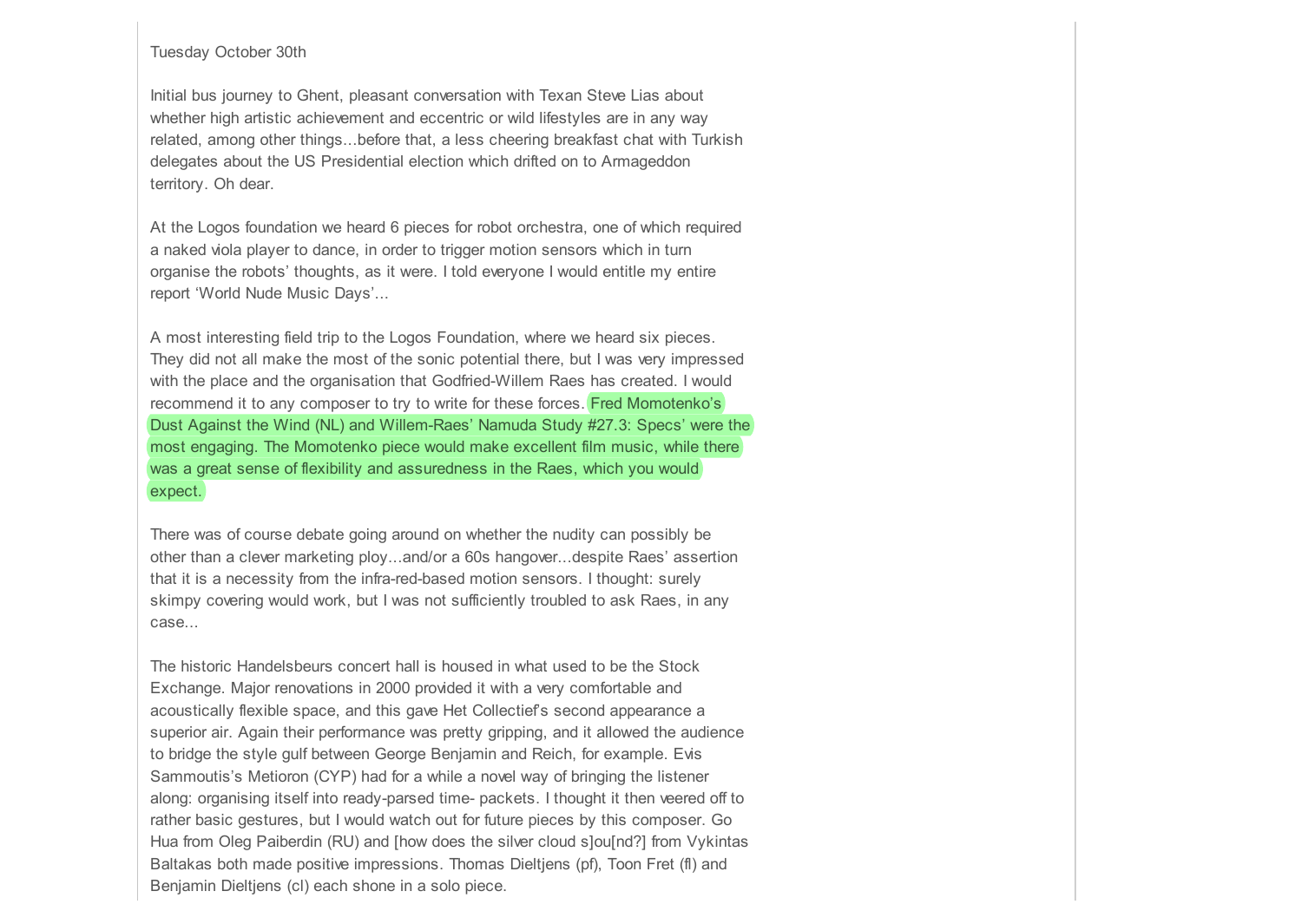## Tuesday October 30th

Initial bus journey to Ghent, pleasant conversation with Texan Steve Lias about whether high artistic achievement and eccentric or wild lifestyles are in any way related, among other things...before that, a less cheering breakfast chat with Turkish delegates about the US Presidential election which drifted on to Armageddon territory. Oh dear.

At the Logos foundation we heard 6 pieces for robot orchestra, one of which required a naked viola player to dance, in order to trigger motion sensors which in turn organise the robots' thoughts, as it were. I told everyone I would entitle my entire report 'World Nude Music Days'...

A most interesting field trip to the Logos Foundation, where we heard six pieces. They did not all make the most of the sonic potential there, but I was very impressed with the place and the organisation that Godfried-Willem Raes has created. I would recommend it to any composer to try to write for these forces. Fred Momotenko's Dust Against the Wind (NL) and Willem-Raes' Namuda Study #27.3: Specs' were the most engaging. The Momotenko piece would make excellent film music, while there was a great sense of flexibility and assuredness in the Raes, which you would expect.

There was of course debate going around on whether the nudity can possibly be other than a clever marketing ploy...and/or a 60s hangover...despite Raes' assertion that it is a necessity from the infra-red-based motion sensors. I thought: surely skimpy covering would work, but I was not sufficiently troubled to ask Raes, in any case...

The historic Handelsbeurs concert hall is housed in what used to be the Stock Exchange. Major renovations in 2000 provided it with a very comfortable and acoustically flexible space, and this gave Het Collectief's second appearance a superior air. Again their performance was pretty gripping, and it allowed the audience to bridge the style gulf between George Benjamin and Reich, for example. Evis Sammoutis's Metioron (CYP) had for a while a novel way of bringing the listener along: organising itself into ready-parsed time- packets. I thought it then veered off to rather basic gestures, but I would watch out for future pieces by this composer. Go Hua from Oleg Paiberdin (RU) and [how does the silver cloud s]ou[nd?] from Vykintas Baltakas both made positive impressions. Thomas Dieltjens (pf), Toon Fret (fl) and Benjamin Dieltjens (cl) each shone in a solo piece.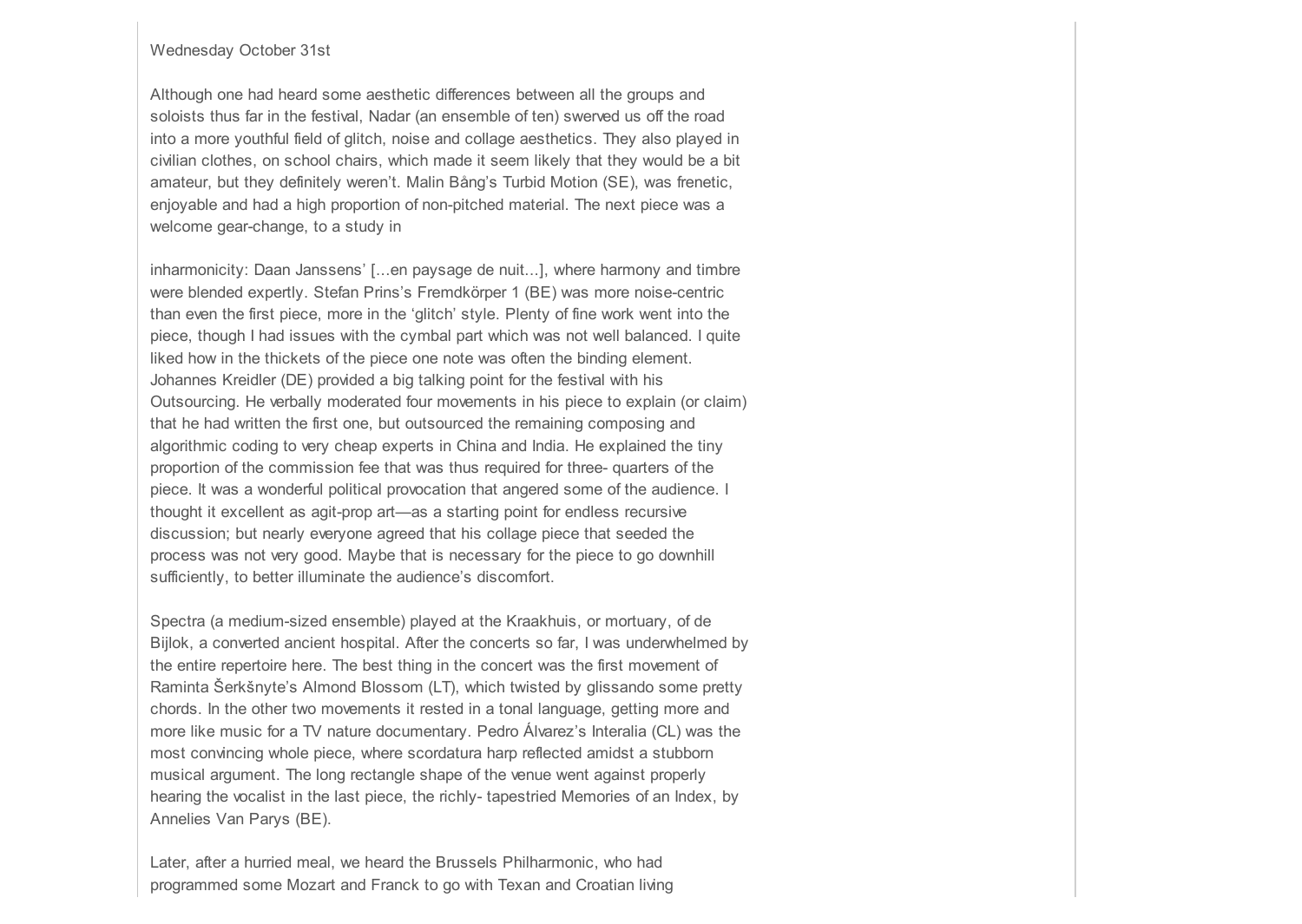## Wednesday October 31st

Although one had heard some aesthetic differences between all the groups and soloists thus far in the festival, Nadar (an ensemble of ten) swerved us off the road into a more youthful field of glitch, noise and collage aesthetics. They also played in civilian clothes, on school chairs, which made it seem likely that they would be a bit amateur, but they definitely weren't. Malin Bång's Turbid Motion (SE), was frenetic, enjoyable and had a high proportion of non-pitched material. The next piece was a welcome gear-change, to a study in

inharmonicity: Daan Janssens' [...en paysage de nuit...], where harmony and timbre were blended expertly. Stefan Prins's Fremdkörper 1 (BE) was more noise-centric than even the first piece, more in the 'glitch' style. Plenty of fine work went into the piece, though I had issues with the cymbal part which was not well balanced. I quite liked how in the thickets of the piece one note was often the binding element. Johannes Kreidler (DE) provided a big talking point for the festival with his Outsourcing. He verbally moderated four movements in his piece to explain (or claim) that he had written the first one, but outsourced the remaining composing and algorithmic coding to very cheap experts in China and India. He explained the tiny proportion of the commission fee that was thus required for three- quarters of the piece. It was a wonderful political provocation that angered some of the audience. I thought it excellent as agit-prop art—as a starting point for endless recursive discussion; but nearly everyone agreed that his collage piece that seeded the process was not very good. Maybe that is necessary for the piece to go downhill sufficiently, to better illuminate the audience's discomfort.

Spectra (a medium-sized ensemble) played at the Kraakhuis, or mortuary, of de Bijlok, a converted ancient hospital. After the concerts so far, I was underwhelmed by the entire repertoire here. The best thing in the concert was the first movement of Raminta Šerkšnyte's Almond Blossom (LT), which twisted by glissando some pretty chords. In the other two movements it rested in a tonal language, getting more and more like music for a TV nature documentary. Pedro Álvarez's Interalia (CL) was the most convincing whole piece, where scordatura harp reflected amidst a stubborn musical argument. The long rectangle shape of the venue went against properly hearing the vocalist in the last piece, the richly- tapestried Memories of an Index, by Annelies Van Parys (BE).

Later, after a hurried meal, we heard the Brussels Philharmonic, who had programmed some Mozart and Franck to go with Texan and Croatian living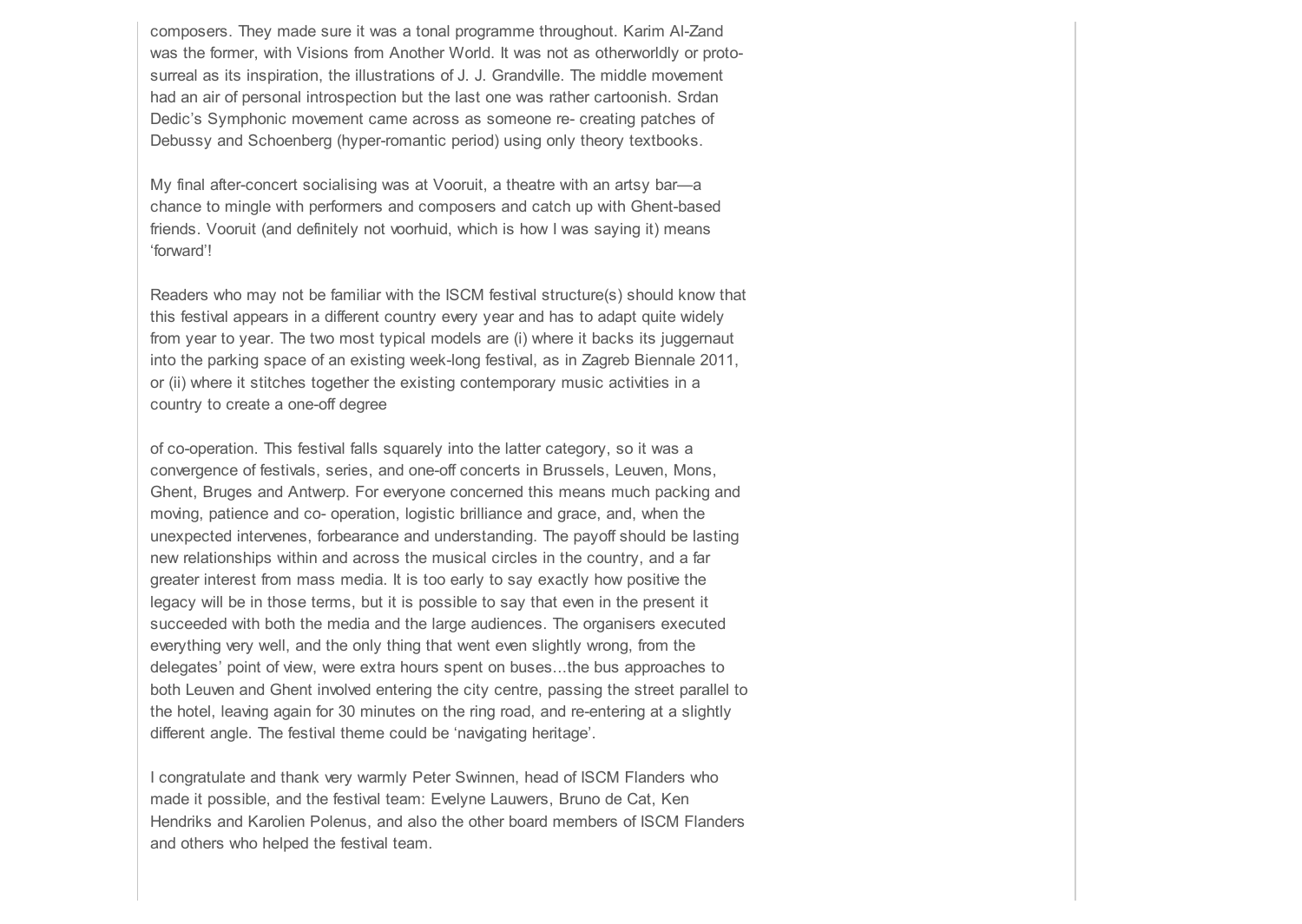composers. They made sure it was a tonal programme throughout. Karim Al-Zand was the former, with Visions from Another World. It was not as otherworldly or protosurreal as its inspiration, the illustrations of J. J. Grandville. The middle movement had an air of personal introspection but the last one was rather cartoonish. Srdan Dedic's Symphonic movement came across as someone re- creating patches of Debussy and Schoenberg (hyper-romantic period) using only theory textbooks.

My final after-concert socialising was at Vooruit, a theatre with an artsy bar—a chance to mingle with performers and composers and catch up with Ghent-based friends. Vooruit (and definitely not voorhuid, which is how I was saying it) means 'forward'!

Readers who may not be familiar with the ISCM festival structure(s) should know that this festival appears in a different country every year and has to adapt quite widely from year to year. The two most typical models are (i) where it backs its juggernaut into the parking space of an existing week-long festival, as in Zagreb Biennale 2011, or (ii) where it stitches together the existing contemporary music activities in a country to create a one-off degree

of co-operation. This festival falls squarely into the latter category, so it was a convergence of festivals, series, and one-off concerts in Brussels, Leuven, Mons, Ghent, Bruges and Antwerp. For everyone concerned this means much packing and moving, patience and co- operation, logistic brilliance and grace, and, when the unexpected intervenes, forbearance and understanding. The payoff should be lasting new relationships within and across the musical circles in the country, and a far greater interest from mass media. It is too early to say exactly how positive the legacy will be in those terms, but it is possible to say that even in the present it succeeded with both the media and the large audiences. The organisers executed everything very well, and the only thing that went even slightly wrong, from the delegates' point of view, were extra hours spent on buses...the bus approaches to both Leuven and Ghent involved entering the city centre, passing the street parallel to the hotel, leaving again for 30 minutes on the ring road, and re-entering at a slightly different angle. The festival theme could be 'navigating heritage'.

I congratulate and thank very warmly Peter Swinnen, head of ISCM Flanders who made it possible, and the festival team: Evelyne Lauwers, Bruno de Cat, Ken Hendriks and Karolien Polenus, and also the other board members of ISCM Flanders and others who helped the festival team.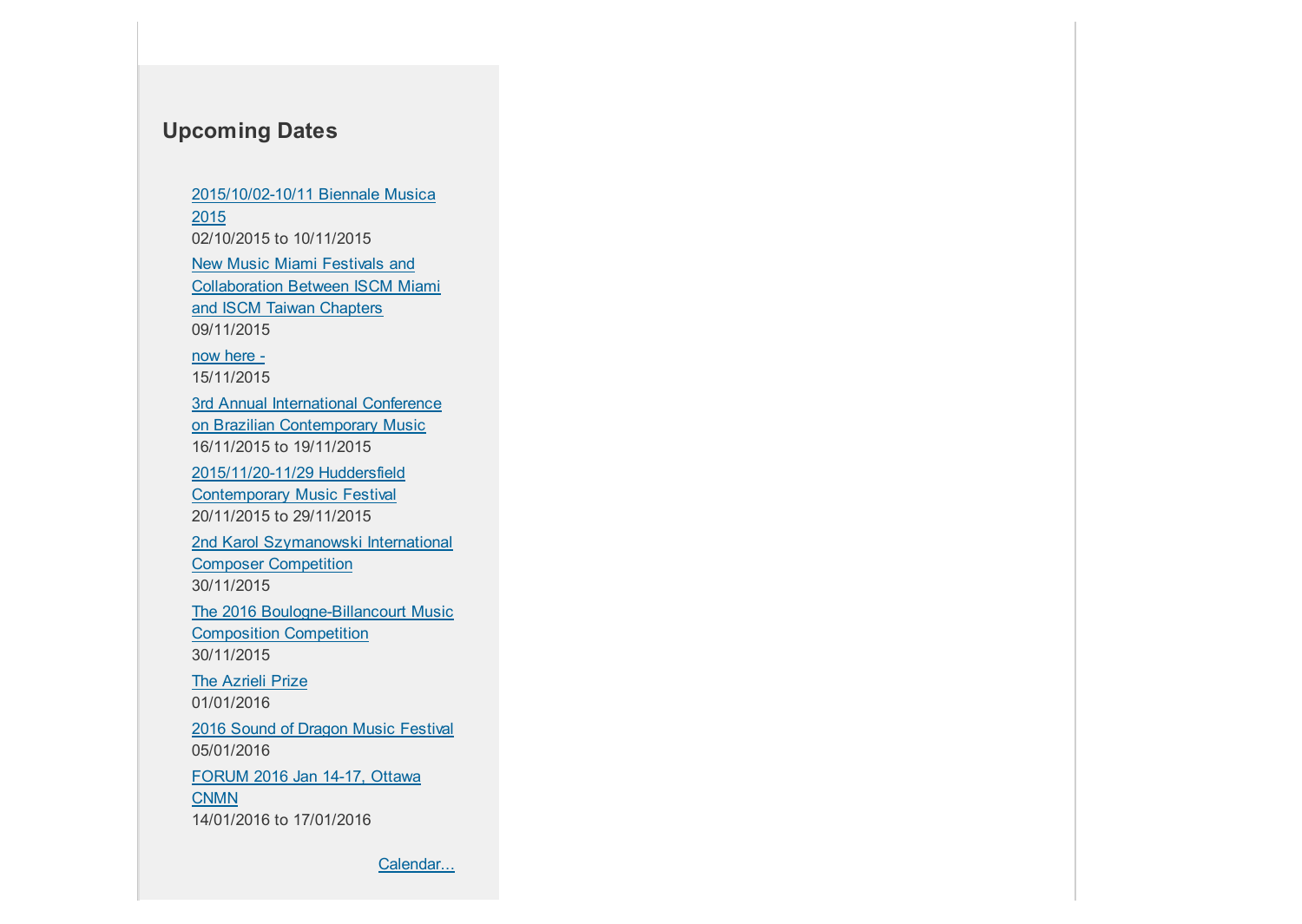# **Upcoming Dates**

[2015/10/02-10/11 Biennale Musica](http://www.iscm.org/articles/2015/10/02-10/11-biennale-musica-2015) 2015 02/10/2015 to 10/11/2015 New Music Miami Festivals and [Collaboration Between ISCM Miami](http://www.iscm.org/articles/new-music-miami-festivals-and-collaboration-between-iscm-miami-and-iscm-taiwan-chapters) and ISCM Taiwan Chapters 09/11/2015 [now here -](http://www.iscm.org/activities/iscmevents/now-here) 15/11/2015 [3rd Annual International Conference](http://www.iscm.org/articles/3rd-annual-international-conference-brazilian-contemporary-music) on Brazilian Contemporary Music 16/11/2015 to 19/11/2015 [2015/11/20-11/29 Huddersfield](http://www.iscm.org/articles/20151120-1129-huddersfield-contemporary-music-festival) Contemporary Music Festival 20/11/2015 to 29/11/2015 [2nd Karol Szymanowski International](http://www.iscm.org/articles/2nd-karol-szymanowski-international-composer-competition) Composer Competition 30/11/2015 [The 2016 Boulogne-Billancourt Music](http://www.iscm.org/articles/2016-boulogne-billancourt-music-composition-competition) Composition Competition 30/11/2015 [The Azrieli Prize](http://www.iscm.org/articles/azrieli-prize) 01/01/2016 [2016 Sound of Dragon Music Festival](http://www.iscm.org/articles/2016-sound-dragon-music-festival) 05/01/2016 [FORUM 2016 Jan 14-17, Ottawa](http://www.iscm.org/articles/forum-2016-jan-14-17-ottawa-cnmn) CNMN 14/01/2016 to 17/01/2016

[Calendar...](http://www.iscm.org/articles/due-dates/month)